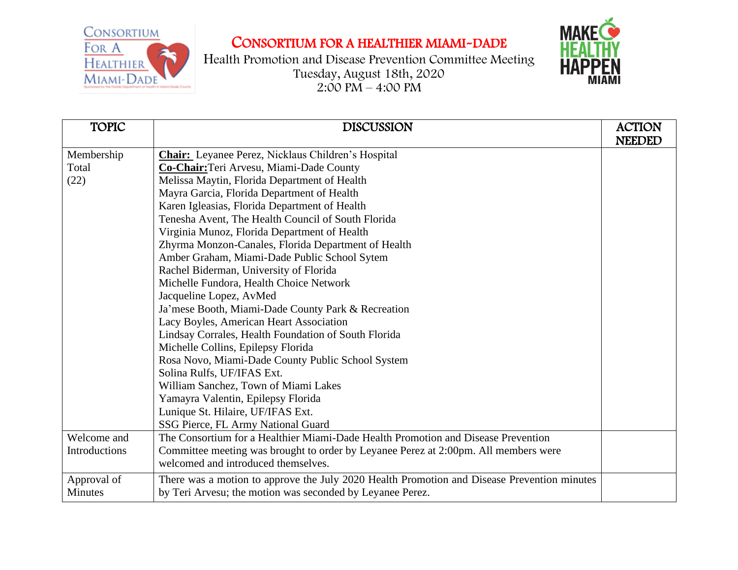

## CONSORTIUM FOR A HEALTHIER MIAMI-DADE

Health Promotion and Disease Prevention Committee Meeting Tuesday, August 18th, 2020  $2:00 \text{ PM} - 4:00 \text{ PM}$ 



| <b>TOPIC</b>   | <b>DISCUSSION</b>                                                                           | <b>ACTION</b> |
|----------------|---------------------------------------------------------------------------------------------|---------------|
|                |                                                                                             | <b>NEEDED</b> |
| Membership     | <b>Chair:</b> Leyanee Perez, Nicklaus Children's Hospital                                   |               |
| Total          | Co-Chair: Teri Arvesu, Miami-Dade County                                                    |               |
| (22)           | Melissa Maytin, Florida Department of Health                                                |               |
|                | Mayra Garcia, Florida Department of Health                                                  |               |
|                | Karen Igleasias, Florida Department of Health                                               |               |
|                | Tenesha Avent, The Health Council of South Florida                                          |               |
|                | Virginia Munoz, Florida Department of Health                                                |               |
|                | Zhyrma Monzon-Canales, Florida Department of Health                                         |               |
|                | Amber Graham, Miami-Dade Public School Sytem                                                |               |
|                | Rachel Biderman, University of Florida                                                      |               |
|                | Michelle Fundora, Health Choice Network                                                     |               |
|                | Jacqueline Lopez, AvMed                                                                     |               |
|                | Ja'mese Booth, Miami-Dade County Park & Recreation                                          |               |
|                | Lacy Boyles, American Heart Association                                                     |               |
|                | Lindsay Corrales, Health Foundation of South Florida                                        |               |
|                | Michelle Collins, Epilepsy Florida                                                          |               |
|                | Rosa Novo, Miami-Dade County Public School System                                           |               |
|                | Solina Rulfs, UF/IFAS Ext.                                                                  |               |
|                | William Sanchez, Town of Miami Lakes                                                        |               |
|                | Yamayra Valentin, Epilepsy Florida                                                          |               |
|                | Lunique St. Hilaire, UF/IFAS Ext.                                                           |               |
|                | SSG Pierce, FL Army National Guard                                                          |               |
| Welcome and    | The Consortium for a Healthier Miami-Dade Health Promotion and Disease Prevention           |               |
| Introductions  | Committee meeting was brought to order by Leyanee Perez at 2:00pm. All members were         |               |
|                | welcomed and introduced themselves.                                                         |               |
| Approval of    | There was a motion to approve the July 2020 Health Promotion and Disease Prevention minutes |               |
| <b>Minutes</b> | by Teri Arvesu; the motion was seconded by Leyanee Perez.                                   |               |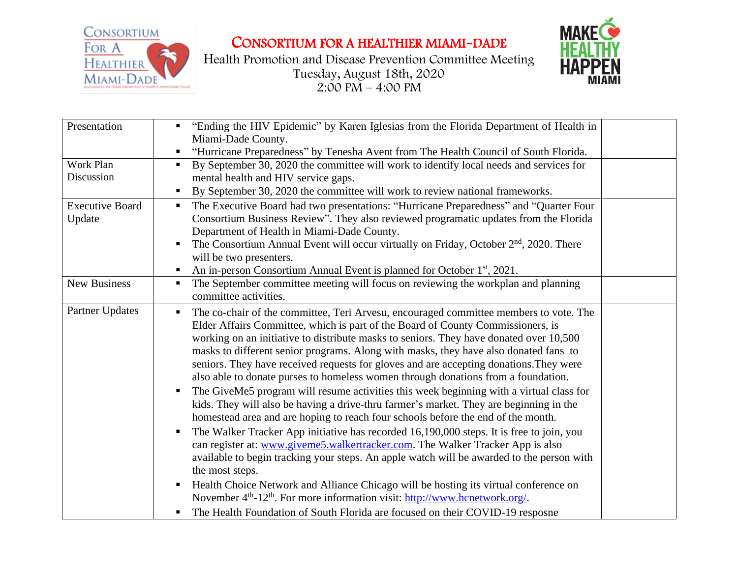

CONSORTIUM FOR A HEALTHIER MIAMI-DADE

Health Promotion and Disease Prevention Committee Meeting Tuesday, August 18th, 2020  $2:00 \text{ PM} - 4:00 \text{ PM}$ 



| Presentation                     | "Ending the HIV Epidemic" by Karen Iglesias from the Florida Department of Health in<br>Miami-Dade County.                                                                                                                                                                                                                                                                                                                                                                                                                                                                                                                                                                                                                                                                                                                                                                                                                                                                                                                                                                                                                                                                                                                                                                                                                                                                                                                   |  |
|----------------------------------|------------------------------------------------------------------------------------------------------------------------------------------------------------------------------------------------------------------------------------------------------------------------------------------------------------------------------------------------------------------------------------------------------------------------------------------------------------------------------------------------------------------------------------------------------------------------------------------------------------------------------------------------------------------------------------------------------------------------------------------------------------------------------------------------------------------------------------------------------------------------------------------------------------------------------------------------------------------------------------------------------------------------------------------------------------------------------------------------------------------------------------------------------------------------------------------------------------------------------------------------------------------------------------------------------------------------------------------------------------------------------------------------------------------------------|--|
|                                  | "Hurricane Preparedness" by Tenesha Avent from The Health Council of South Florida.<br>ш                                                                                                                                                                                                                                                                                                                                                                                                                                                                                                                                                                                                                                                                                                                                                                                                                                                                                                                                                                                                                                                                                                                                                                                                                                                                                                                                     |  |
| Work Plan<br>Discussion          | By September 30, 2020 the committee will work to identify local needs and services for<br>$\blacksquare$<br>mental health and HIV service gaps.                                                                                                                                                                                                                                                                                                                                                                                                                                                                                                                                                                                                                                                                                                                                                                                                                                                                                                                                                                                                                                                                                                                                                                                                                                                                              |  |
|                                  | By September 30, 2020 the committee will work to review national frameworks.                                                                                                                                                                                                                                                                                                                                                                                                                                                                                                                                                                                                                                                                                                                                                                                                                                                                                                                                                                                                                                                                                                                                                                                                                                                                                                                                                 |  |
| <b>Executive Board</b><br>Update | The Executive Board had two presentations: "Hurricane Preparedness" and "Quarter Four<br>$\blacksquare$<br>Consortium Business Review". They also reviewed programatic updates from the Florida<br>Department of Health in Miami-Dade County.<br>The Consortium Annual Event will occur virtually on Friday, October $2nd$ , 2020. There                                                                                                                                                                                                                                                                                                                                                                                                                                                                                                                                                                                                                                                                                                                                                                                                                                                                                                                                                                                                                                                                                     |  |
|                                  | will be two presenters.<br>An in-person Consortium Annual Event is planned for October 1 <sup>st</sup> , 2021.<br>п.                                                                                                                                                                                                                                                                                                                                                                                                                                                                                                                                                                                                                                                                                                                                                                                                                                                                                                                                                                                                                                                                                                                                                                                                                                                                                                         |  |
| <b>New Business</b>              | The September committee meeting will focus on reviewing the workplan and planning<br>$\blacksquare$<br>committee activities.                                                                                                                                                                                                                                                                                                                                                                                                                                                                                                                                                                                                                                                                                                                                                                                                                                                                                                                                                                                                                                                                                                                                                                                                                                                                                                 |  |
| Partner Updates                  | The co-chair of the committee, Teri Arvesu, encouraged committee members to vote. The<br>$\blacksquare$<br>Elder Affairs Committee, which is part of the Board of County Commissioners, is<br>working on an initiative to distribute masks to seniors. They have donated over 10,500<br>masks to different senior programs. Along with masks, they have also donated fans to<br>seniors. They have received requests for gloves and are accepting donations. They were<br>also able to donate purses to homeless women through donations from a foundation.<br>The GiveMe5 program will resume activities this week beginning with a virtual class for<br>kids. They will also be having a drive-thru farmer's market. They are beginning in the<br>homestead area and are hoping to reach four schools before the end of the month.<br>The Walker Tracker App initiative has recorded 16,190,000 steps. It is free to join, you<br>٠<br>can register at: www.giveme5.walkertracker.com. The Walker Tracker App is also<br>available to begin tracking your steps. An apple watch will be awarded to the person with<br>the most steps.<br>Health Choice Network and Alliance Chicago will be hosting its virtual conference on<br>November 4 <sup>th</sup> -12 <sup>th</sup> . For more information visit: http://www.hcnetwork.org/.<br>The Health Foundation of South Florida are focused on their COVID-19 resposne<br>ш |  |